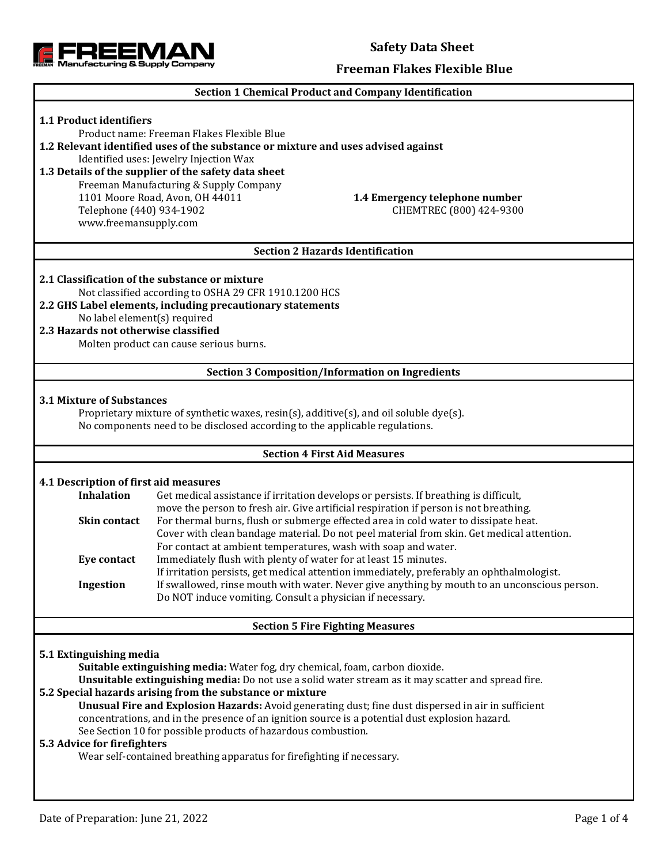



# **Freeman Flakes Flexible Blue**

# **Section 1 Chemical Product and Company Identification**

# **1.1 Product identifiers** Product name: Freeman Flakes Flexible Blue **1.2 Relevant identified uses of the substance or mixture and uses advised against** Identified uses: Jewelry Injection Wax **1.3 Details of the supplier of the safety data sheet** Freeman Manufacturing & Supply Company 1101 Moore Road, Avon, OH 44011 **1.4 Emergency telephone number** Telephone (440) 934-1902 CHEMTREC (800) 424-9300 www.freemansupply.com **Section 2 Hazards Identification 2.1 Classification of the substance or mixture** Not classified according to OSHA 29 CFR 1910.1200 HCS **2.2 GHS Label elements, including precautionary statements** No label element(s) required **2.3 Hazards not otherwise classified** Molten product can cause serious burns. **Section 3 Composition/Information on Ingredients 3.1 Mixture of Substances** Proprietary mixture of synthetic waxes, resin(s), additive(s), and oil soluble dye(s). No components need to be disclosed according to the applicable regulations. **Section 4 First Aid Measures 4.1 Description of first aid measures Inhalation** Get medical assistance if irritation develops or persists. If breathing is difficult,

| move the person to fresh air. Give artificial respiration if person is not breathing.        |
|----------------------------------------------------------------------------------------------|
| For thermal burns, flush or submerge effected area in cold water to dissipate heat.          |
| Cover with clean bandage material. Do not peel material from skin. Get medical attention.    |
|                                                                                              |
|                                                                                              |
| If irritation persists, get medical attention immediately, preferably an ophthalmologist.    |
| If swallowed, rinse mouth with water. Never give anything by mouth to an unconscious person. |
|                                                                                              |
|                                                                                              |

#### **Section 5 Fire Fighting Measures**

#### **5.1 Extinguishing media**

**Suitable extinguishing media:** Water fog, dry chemical, foam, carbon dioxide.

**Unsuitable extinguishing media:** Do not use a solid water stream as it may scatter and spread fire.

### **5.2 Special hazards arising from the substance or mixture**

**Unusual Fire and Explosion Hazards:** Avoid generating dust; fine dust dispersed in air in sufficient concentrations, and in the presence of an ignition source is a potential dust explosion hazard. See Section 10 for possible products of hazardous combustion.

#### **5.3 Advice for firefighters**

Wear self-contained breathing apparatus for firefighting if necessary.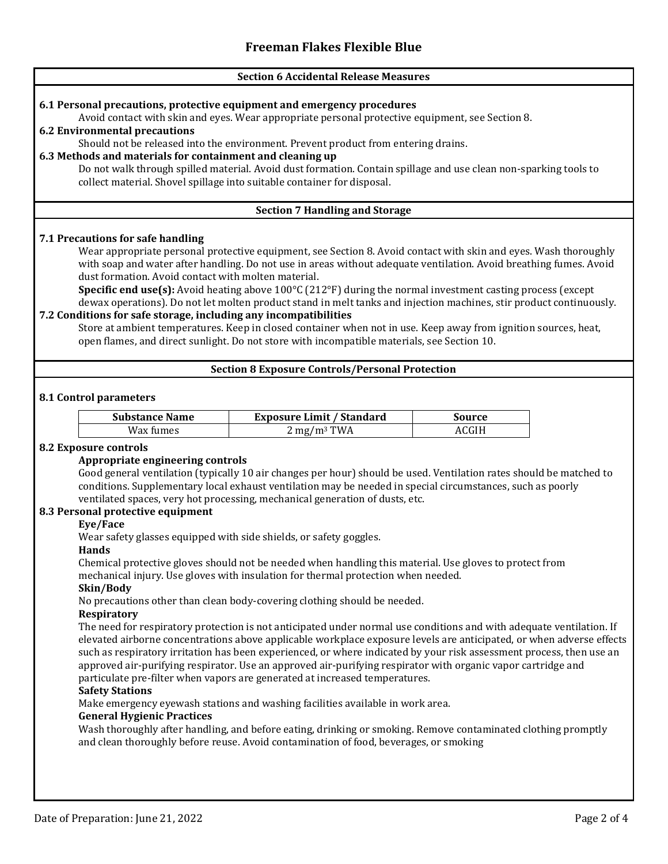# **Section 6 Accidental Release Measures 6.1 Personal precautions, protective equipment and emergency procedures** Avoid contact with skin and eyes. Wear appropriate personal protective equipment, see Section 8. **6.2 Environmental precautions** Should not be released into the environment. Prevent product from entering drains. **6.3 Methods and materials for containment and cleaning up** Do not walk through spilled material. Avoid dust formation. Contain spillage and use clean non-sparking tools to collect material. Shovel spillage into suitable container for disposal. **Section 7 Handling and Storage 7.1 Precautions for safe handling** Wear appropriate personal protective equipment, see Section 8. Avoid contact with skin and eyes. Wash thoroughly with soap and water after handling. Do not use in areas without adequate ventilation. Avoid breathing fumes. Avoid dust formation. Avoid contact with molten material. **Specific end use(s):** Avoid heating above 100°C (212°F) during the normal investment casting process (except dewax operations). Do not let molten product stand in melt tanks and injection machines, stir product continuously. **7.2 Conditions for safe storage, including any incompatibilities** Store at ambient temperatures. Keep in closed container when not in use. Keep away from ignition sources, heat, open flames, and direct sunlight. Do not store with incompatible materials, see Section 10. **Section 8 Exposure Controls/Personal Protection 8.1 Control parameters Substance Name Exposure Limit / Standard Source**  $Wax \, \text{fumes}$  2 mg/m<sup>3</sup> TWA  $ACGIH$ **8.2 Exposure controls Appropriate engineering controls** Good general ventilation (typically 10 air changes per hour) should be used. Ventilation rates should be matched to conditions. Supplementary local exhaust ventilation may be needed in special circumstances, such as poorly ventilated spaces, very hot processing, mechanical generation of dusts, etc. **8.3 Personal protective equipment Eye/Face** Wear safety glasses equipped with side shields, or safety goggles. **Hands** Chemical protective gloves should not be needed when handling this material. Use gloves to protect from mechanical injury. Use gloves with insulation for thermal protection when needed. **Skin/Body** No precautions other than clean body-covering clothing should be needed. **Respiratory** The need for respiratory protection is not anticipated under normal use conditions and with adequate ventilation. If elevated airborne concentrations above applicable workplace exposure levels are anticipated, or when adverse effects such as respiratory irritation has been experienced, or where indicated by your risk assessment process, then use an approved air-purifying respirator. Use an approved air-purifying respirator with organic vapor cartridge and particulate pre-filter when vapors are generated at increased temperatures. **Safety Stations** Make emergency eyewash stations and washing facilities available in work area. **General Hygienic Practices** Wash thoroughly after handling, and before eating, drinking or smoking. Remove contaminated clothing promptly and clean thoroughly before reuse. Avoid contamination of food, beverages, or smoking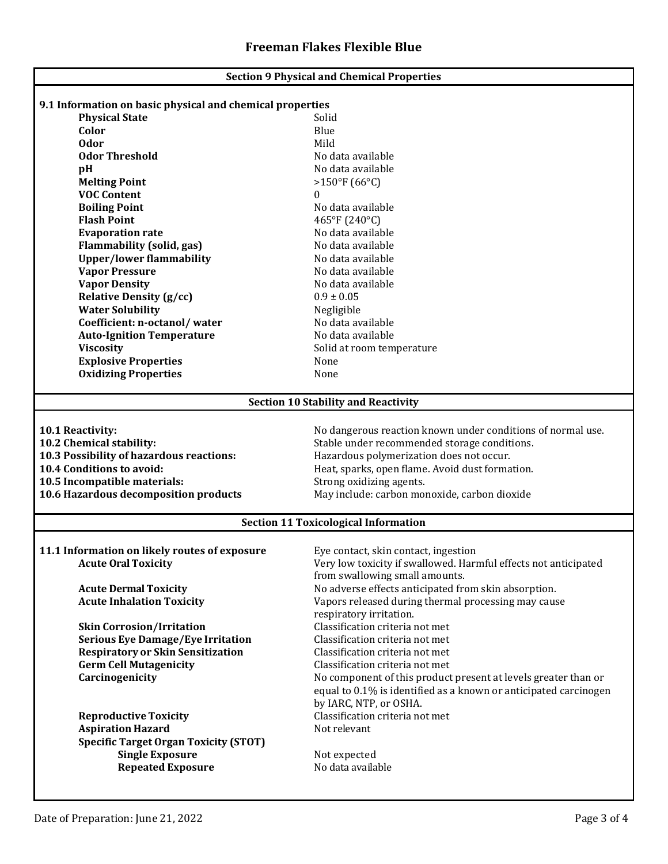|                                                           | <b>Section 9 Physical and Chemical Properties</b>                |  |  |  |
|-----------------------------------------------------------|------------------------------------------------------------------|--|--|--|
|                                                           |                                                                  |  |  |  |
| 9.1 Information on basic physical and chemical properties | Solid                                                            |  |  |  |
| <b>Physical State</b><br>Color                            | Blue                                                             |  |  |  |
|                                                           | Mild                                                             |  |  |  |
| <b>Odor</b>                                               |                                                                  |  |  |  |
| <b>Odor Threshold</b>                                     | No data available                                                |  |  |  |
| pH                                                        | No data available                                                |  |  |  |
| <b>Melting Point</b>                                      | $>150^{\circ}$ F (66°C)                                          |  |  |  |
| <b>VOC Content</b>                                        | 0                                                                |  |  |  |
| <b>Boiling Point</b>                                      | No data available                                                |  |  |  |
| <b>Flash Point</b>                                        | 465°F (240°C)                                                    |  |  |  |
| <b>Evaporation rate</b>                                   | No data available                                                |  |  |  |
| <b>Flammability (solid, gas)</b>                          | No data available                                                |  |  |  |
| <b>Upper/lower flammability</b>                           | No data available                                                |  |  |  |
| <b>Vapor Pressure</b>                                     | No data available                                                |  |  |  |
| <b>Vapor Density</b>                                      | No data available                                                |  |  |  |
| <b>Relative Density (g/cc)</b>                            | $0.9 \pm 0.05$                                                   |  |  |  |
| <b>Water Solubility</b>                                   | Negligible                                                       |  |  |  |
| Coefficient: n-octanol/water                              | No data available                                                |  |  |  |
| <b>Auto-Ignition Temperature</b>                          | No data available                                                |  |  |  |
| <b>Viscosity</b>                                          | Solid at room temperature                                        |  |  |  |
| <b>Explosive Properties</b>                               | None                                                             |  |  |  |
| <b>Oxidizing Properties</b>                               | None                                                             |  |  |  |
|                                                           |                                                                  |  |  |  |
|                                                           | <b>Section 10 Stability and Reactivity</b>                       |  |  |  |
|                                                           |                                                                  |  |  |  |
| 10.1 Reactivity:                                          | No dangerous reaction known under conditions of normal use.      |  |  |  |
| 10.2 Chemical stability:                                  | Stable under recommended storage conditions.                     |  |  |  |
| 10.3 Possibility of hazardous reactions:                  | Hazardous polymerization does not occur.                         |  |  |  |
| 10.4 Conditions to avoid:                                 | Heat, sparks, open flame. Avoid dust formation.                  |  |  |  |
| 10.5 Incompatible materials:                              | Strong oxidizing agents.                                         |  |  |  |
| 10.6 Hazardous decomposition products                     | May include: carbon monoxide, carbon dioxide                     |  |  |  |
| <b>Section 11 Toxicological Information</b>               |                                                                  |  |  |  |
|                                                           |                                                                  |  |  |  |
| 11.1 Information on likely routes of exposure             | Eve contact, skin contact, ingestion                             |  |  |  |
| <b>Acute Oral Toxicity</b>                                | Very low toxicity if swallowed. Harmful effects not anticipated  |  |  |  |
|                                                           | from swallowing small amounts.                                   |  |  |  |
| <b>Acute Dermal Toxicity</b>                              | No adverse effects anticipated from skin absorption.             |  |  |  |
| <b>Acute Inhalation Toxicity</b>                          | Vapors released during thermal processing may cause              |  |  |  |
|                                                           | respiratory irritation.                                          |  |  |  |
| <b>Skin Corrosion/Irritation</b>                          | Classification criteria not met                                  |  |  |  |
| <b>Serious Eye Damage/Eye Irritation</b>                  | Classification criteria not met                                  |  |  |  |
| <b>Respiratory or Skin Sensitization</b>                  | Classification criteria not met                                  |  |  |  |
| <b>Germ Cell Mutagenicity</b>                             | Classification criteria not met                                  |  |  |  |
| Carcinogenicity                                           | No component of this product present at levels greater than or   |  |  |  |
|                                                           | equal to 0.1% is identified as a known or anticipated carcinogen |  |  |  |
|                                                           | by IARC, NTP, or OSHA.                                           |  |  |  |
| <b>Reproductive Toxicity</b>                              | Classification criteria not met                                  |  |  |  |
| <b>Aspiration Hazard</b>                                  | Not relevant                                                     |  |  |  |
| <b>Specific Target Organ Toxicity (STOT)</b>              |                                                                  |  |  |  |
| <b>Single Exposure</b>                                    | Not expected                                                     |  |  |  |
| <b>Repeated Exposure</b>                                  | No data available                                                |  |  |  |
|                                                           |                                                                  |  |  |  |